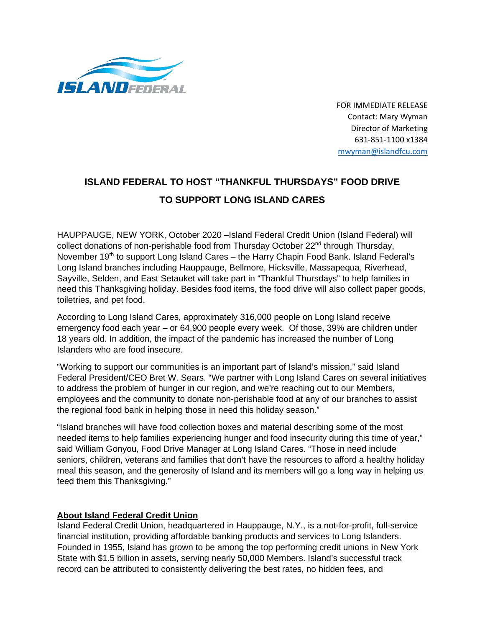

FOR IMMEDIATE RELEASE Contact: Mary Wyman Director of Marketing 631-851-1100 x1384 [mwyman@islandfcu.com](mailto:Ldunn@islandfcu.com)

## **ISLAND FEDERAL TO HOST "THANKFUL THURSDAYS" FOOD DRIVE TO SUPPORT LONG ISLAND CARES**

HAUPPAUGE, NEW YORK, October 2020 –Island Federal Credit Union (Island Federal) will collect donations of non-perishable food from Thursday October  $22<sup>nd</sup>$  through Thursday, November 19<sup>th</sup> to support Long Island Cares – the Harry Chapin Food Bank. Island Federal's Long Island branches including Hauppauge, Bellmore, Hicksville, Massapequa, Riverhead, Sayville, Selden, and East Setauket will take part in "Thankful Thursdays" to help families in need this Thanksgiving holiday. Besides food items, the food drive will also collect paper goods, toiletries, and pet food.

According to Long Island Cares, approximately 316,000 people on Long Island receive emergency food each year – or 64,900 people every week. Of those, 39% are children under 18 years old. In addition, the impact of the pandemic has increased the number of Long Islanders who are food insecure.

"Working to support our communities is an important part of Island's mission," said Island Federal President/CEO Bret W. Sears. "We partner with Long Island Cares on several initiatives to address the problem of hunger in our region, and we're reaching out to our Members, employees and the community to donate non-perishable food at any of our branches to assist the regional food bank in helping those in need this holiday season."

"Island branches will have food collection boxes and material describing some of the most needed items to help families experiencing hunger and food insecurity during this time of year," said William Gonyou, Food Drive Manager at Long Island Cares. "Those in need include seniors, children, veterans and families that don't have the resources to afford a healthy holiday meal this season, and the generosity of Island and its members will go a long way in helping us feed them this Thanksgiving."

## **About Island Federal Credit Union**

Island Federal Credit Union, headquartered in Hauppauge, N.Y., is a not-for-profit, full-service financial institution, providing affordable banking products and services to Long Islanders. Founded in 1955, Island has grown to be among the top performing credit unions in New York State with \$1.5 billion in assets, serving nearly 50,000 Members. Island's successful track record can be attributed to consistently delivering the best rates, no hidden fees, and